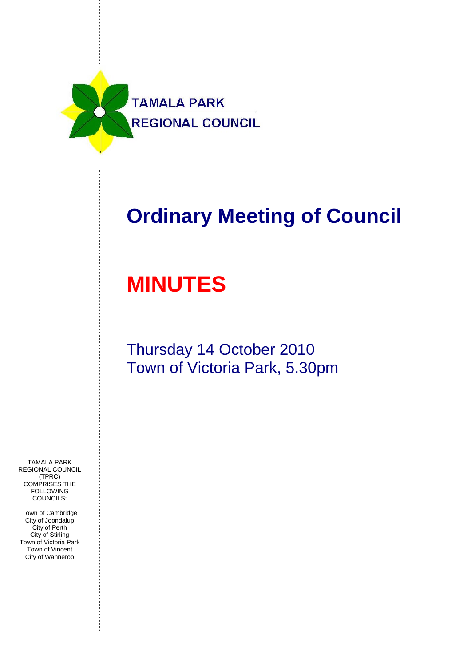

# **Ordinary Meeting of Council**

# **MINUTES**

# Thursday 14 October 2010 Town of Victoria Park, 5.30pm

TAMALA PARK REGIONAL COUNCIL (TPRC) COMPRISES THE **FOLLOWING** COUNCILS:

Town of Cambridge City of Joondalup City of Perth City of Stirling Town of Victoria Park Town of Vincent City of Wanneroo

............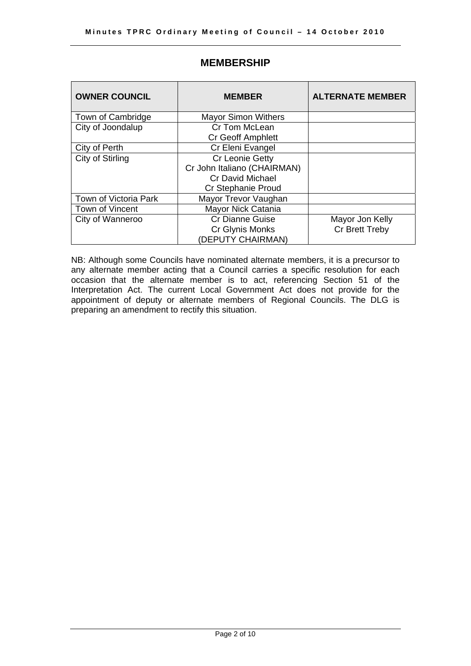| <b>OWNER COUNCIL</b>  | <b>MEMBER</b>               | <b>ALTERNATE MEMBER</b> |
|-----------------------|-----------------------------|-------------------------|
| Town of Cambridge     | <b>Mayor Simon Withers</b>  |                         |
| City of Joondalup     | Cr Tom McLean               |                         |
|                       | <b>Cr Geoff Amphlett</b>    |                         |
| City of Perth         | Cr Eleni Evangel            |                         |
| City of Stirling      | Cr Leonie Getty             |                         |
|                       | Cr John Italiano (CHAIRMAN) |                         |
|                       | Cr David Michael            |                         |
|                       | Cr Stephanie Proud          |                         |
| Town of Victoria Park | Mayor Trevor Vaughan        |                         |
| Town of Vincent       | Mayor Nick Catania          |                         |
| City of Wanneroo      | <b>Cr Dianne Guise</b>      | Mayor Jon Kelly         |
|                       | Cr Glynis Monks             | Cr Brett Treby          |
|                       | (DEPUTY CHAIRMAN)           |                         |

# **MEMBERSHIP**

NB: Although some Councils have nominated alternate members, it is a precursor to any alternate member acting that a Council carries a specific resolution for each occasion that the alternate member is to act, referencing Section 51 of the Interpretation Act. The current Local Government Act does not provide for the appointment of deputy or alternate members of Regional Councils. The DLG is preparing an amendment to rectify this situation.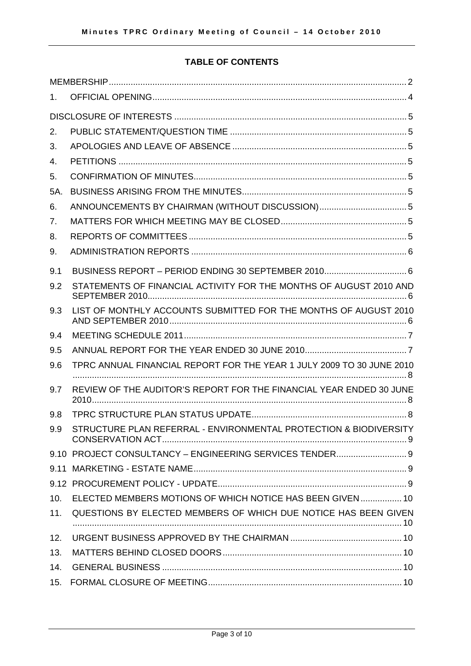# **TABLE OF CONTENTS**

| 1.  |                                                                       |
|-----|-----------------------------------------------------------------------|
|     |                                                                       |
| 2.  |                                                                       |
| 3.  |                                                                       |
| 4.  |                                                                       |
| 5.  |                                                                       |
| 5A. |                                                                       |
| 6.  | ANNOUNCEMENTS BY CHAIRMAN (WITHOUT DISCUSSION) 5                      |
| 7.  |                                                                       |
| 8.  |                                                                       |
| 9.  |                                                                       |
| 9.1 | BUSINESS REPORT - PERIOD ENDING 30 SEPTEMBER 2010 6                   |
| 9.2 | STATEMENTS OF FINANCIAL ACTIVITY FOR THE MONTHS OF AUGUST 2010 AND    |
| 9.3 | LIST OF MONTHLY ACCOUNTS SUBMITTED FOR THE MONTHS OF AUGUST 2010      |
| 9.4 |                                                                       |
| 9.5 |                                                                       |
| 9.6 | TPRC ANNUAL FINANCIAL REPORT FOR THE YEAR 1 JULY 2009 TO 30 JUNE 2010 |
| 9.7 | REVIEW OF THE AUDITOR'S REPORT FOR THE FINANCIAL YEAR ENDED 30 JUNE   |
| 9.8 |                                                                       |
| 9.9 | STRUCTURE PLAN REFERRAL - ENVIRONMENTAL PROTECTION & BIODIVERSITY     |
|     | 9.10 PROJECT CONSULTANCY - ENGINEERING SERVICES TENDER 9              |
|     |                                                                       |
|     |                                                                       |
|     | 10. ELECTED MEMBERS MOTIONS OF WHICH NOTICE HAS BEEN GIVEN  10        |
| 11. | QUESTIONS BY ELECTED MEMBERS OF WHICH DUE NOTICE HAS BEEN GIVEN       |
| 12. |                                                                       |
| 13. |                                                                       |
| 14. |                                                                       |
|     |                                                                       |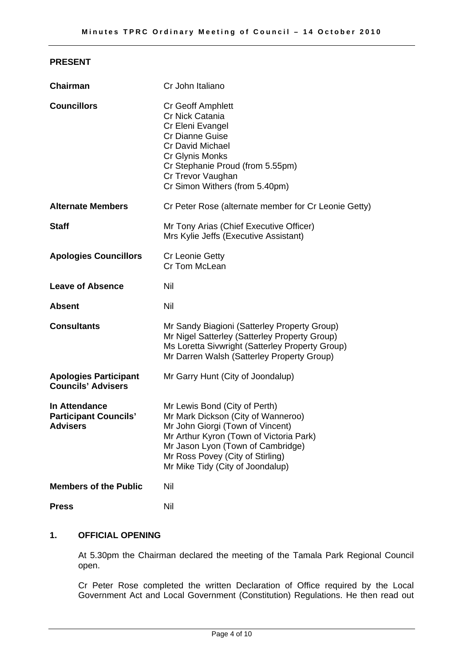# **PRESENT**

| <b>Chairman</b>                                                  | Cr John Italiano                                                                                                                                                                                                                                                |
|------------------------------------------------------------------|-----------------------------------------------------------------------------------------------------------------------------------------------------------------------------------------------------------------------------------------------------------------|
| <b>Councillors</b>                                               | Cr Geoff Amphlett<br>Cr Nick Catania<br>Cr Eleni Evangel<br><b>Cr Dianne Guise</b><br><b>Cr David Michael</b><br>Cr Glynis Monks<br>Cr Stephanie Proud (from 5.55pm)<br>Cr Trevor Vaughan<br>Cr Simon Withers (from 5.40pm)                                     |
| <b>Alternate Members</b>                                         | Cr Peter Rose (alternate member for Cr Leonie Getty)                                                                                                                                                                                                            |
| <b>Staff</b>                                                     | Mr Tony Arias (Chief Executive Officer)<br>Mrs Kylie Jeffs (Executive Assistant)                                                                                                                                                                                |
| <b>Apologies Councillors</b>                                     | <b>Cr Leonie Getty</b><br>Cr Tom McLean                                                                                                                                                                                                                         |
| <b>Leave of Absence</b>                                          | Nil                                                                                                                                                                                                                                                             |
| <b>Absent</b>                                                    | Nil                                                                                                                                                                                                                                                             |
| <b>Consultants</b>                                               | Mr Sandy Biagioni (Satterley Property Group)<br>Mr Nigel Satterley (Satterley Property Group)<br>Ms Loretta Sivwright (Satterley Property Group)<br>Mr Darren Walsh (Satterley Property Group)                                                                  |
| <b>Apologies Participant</b><br><b>Councils' Advisers</b>        | Mr Garry Hunt (City of Joondalup)                                                                                                                                                                                                                               |
| In Attendance<br><b>Participant Councils'</b><br><b>Advisers</b> | Mr Lewis Bond (City of Perth)<br>Mr Mark Dickson (City of Wanneroo)<br>Mr John Giorgi (Town of Vincent)<br>Mr Arthur Kyron (Town of Victoria Park)<br>Mr Jason Lyon (Town of Cambridge)<br>Mr Ross Povey (City of Stirling)<br>Mr Mike Tidy (City of Joondalup) |
| <b>Members of the Public</b>                                     | Nil                                                                                                                                                                                                                                                             |
| <b>Press</b>                                                     | Nil                                                                                                                                                                                                                                                             |

# **1. OFFICIAL OPENING**

At 5.30pm the Chairman declared the meeting of the Tamala Park Regional Council open.

Cr Peter Rose completed the written Declaration of Office required by the Local Government Act and Local Government (Constitution) Regulations. He then read out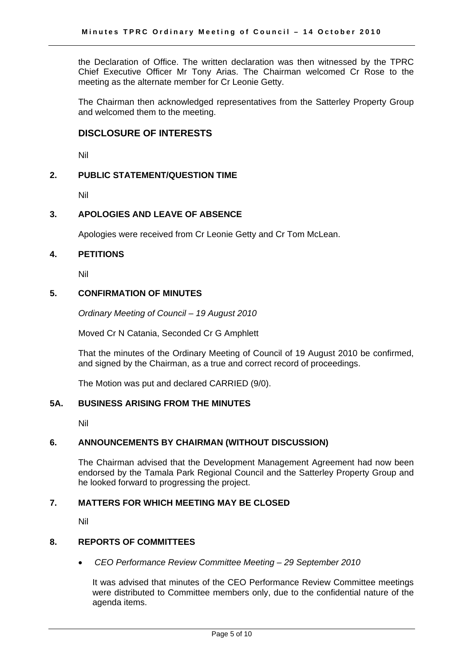the Declaration of Office. The written declaration was then witnessed by the TPRC Chief Executive Officer Mr Tony Arias. The Chairman welcomed Cr Rose to the meeting as the alternate member for Cr Leonie Getty.

The Chairman then acknowledged representatives from the Satterley Property Group and welcomed them to the meeting.

# **DISCLOSURE OF INTERESTS**

Nil

# **2. PUBLIC STATEMENT/QUESTION TIME**

Nil

# **3. APOLOGIES AND LEAVE OF ABSENCE**

Apologies were received from Cr Leonie Getty and Cr Tom McLean.

# **4. PETITIONS**

Nil

# **5. CONFIRMATION OF MINUTES**

*Ordinary Meeting of Council – 19 August 2010* 

Moved Cr N Catania, Seconded Cr G Amphlett

That the minutes of the Ordinary Meeting of Council of 19 August 2010 be confirmed, and signed by the Chairman, as a true and correct record of proceedings.

The Motion was put and declared CARRIED (9/0).

# **5A. BUSINESS ARISING FROM THE MINUTES**

Nil

# **6. ANNOUNCEMENTS BY CHAIRMAN (WITHOUT DISCUSSION)**

The Chairman advised that the Development Management Agreement had now been endorsed by the Tamala Park Regional Council and the Satterley Property Group and he looked forward to progressing the project.

# **7. MATTERS FOR WHICH MEETING MAY BE CLOSED**

Nil

# **8. REPORTS OF COMMITTEES**

• *CEO Performance Review Committee Meeting – 29 September 2010* 

It was advised that minutes of the CEO Performance Review Committee meetings were distributed to Committee members only, due to the confidential nature of the agenda items.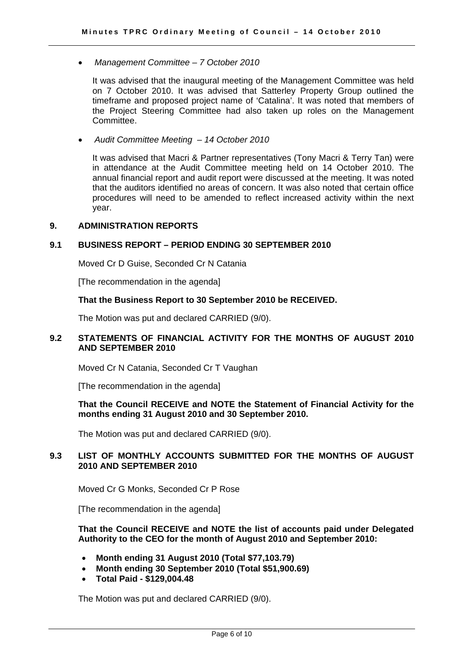• *Management Committee – 7 October 2010* 

It was advised that the inaugural meeting of the Management Committee was held on 7 October 2010. It was advised that Satterley Property Group outlined the timeframe and proposed project name of 'Catalina'. It was noted that members of the Project Steering Committee had also taken up roles on the Management Committee.

• *Audit Committee Meeting – 14 October 2010* 

It was advised that Macri & Partner representatives (Tony Macri & Terry Tan) were in attendance at the Audit Committee meeting held on 14 October 2010. The annual financial report and audit report were discussed at the meeting. It was noted that the auditors identified no areas of concern. It was also noted that certain office procedures will need to be amended to reflect increased activity within the next year.

# **9. ADMINISTRATION REPORTS**

# **9.1 BUSINESS REPORT – PERIOD ENDING 30 SEPTEMBER 2010**

Moved Cr D Guise, Seconded Cr N Catania

[The recommendation in the agenda]

# **That the Business Report to 30 September 2010 be RECEIVED.**

The Motion was put and declared CARRIED (9/0).

# **9.2 STATEMENTS OF FINANCIAL ACTIVITY FOR THE MONTHS OF AUGUST 2010 AND SEPTEMBER 2010**

Moved Cr N Catania, Seconded Cr T Vaughan

[The recommendation in the agenda]

# **That the Council RECEIVE and NOTE the Statement of Financial Activity for the months ending 31 August 2010 and 30 September 2010.**

The Motion was put and declared CARRIED (9/0).

# **9.3 LIST OF MONTHLY ACCOUNTS SUBMITTED FOR THE MONTHS OF AUGUST 2010 AND SEPTEMBER 2010**

Moved Cr G Monks, Seconded Cr P Rose

[The recommendation in the agenda]

**That the Council RECEIVE and NOTE the list of accounts paid under Delegated Authority to the CEO for the month of August 2010 and September 2010:** 

- **Month ending 31 August 2010 (Total \$77,103.79)**
- **Month ending 30 September 2010 (Total \$51,900.69)**
- **Total Paid \$129,004.48**

The Motion was put and declared CARRIED (9/0).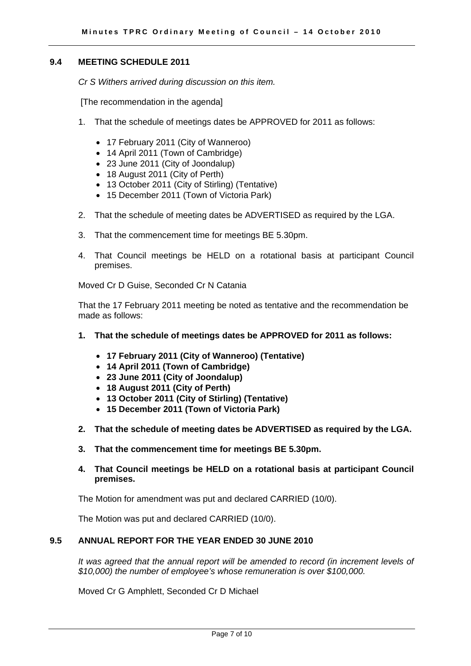# **9.4 MEETING SCHEDULE 2011**

*Cr S Withers arrived during discussion on this item.* 

[The recommendation in the agenda]

- 1. That the schedule of meetings dates be APPROVED for 2011 as follows:
	- 17 February 2011 (City of Wanneroo)
	- 14 April 2011 (Town of Cambridge)
	- 23 June 2011 (City of Joondalup)
	- 18 August 2011 (City of Perth)
	- 13 October 2011 (City of Stirling) (Tentative)
	- 15 December 2011 (Town of Victoria Park)
- 2. That the schedule of meeting dates be ADVERTISED as required by the LGA.
- 3. That the commencement time for meetings BE 5.30pm.
- 4. That Council meetings be HELD on a rotational basis at participant Council premises.

Moved Cr D Guise, Seconded Cr N Catania

That the 17 February 2011 meeting be noted as tentative and the recommendation be made as follows:

- **1. That the schedule of meetings dates be APPROVED for 2011 as follows:** 
	- **17 February 2011 (City of Wanneroo) (Tentative)**
	- **14 April 2011 (Town of Cambridge)**
	- **23 June 2011 (City of Joondalup)**
	- **18 August 2011 (City of Perth)**
	- **13 October 2011 (City of Stirling) (Tentative)**
	- **15 December 2011 (Town of Victoria Park)**
- **2. That the schedule of meeting dates be ADVERTISED as required by the LGA.**
- **3. That the commencement time for meetings BE 5.30pm.**
- **4. That Council meetings be HELD on a rotational basis at participant Council premises.**

The Motion for amendment was put and declared CARRIED (10/0).

The Motion was put and declared CARRIED (10/0).

# **9.5 ANNUAL REPORT FOR THE YEAR ENDED 30 JUNE 2010**

*It was agreed that the annual report will be amended to record (in increment levels of \$10,000) the number of employee's whose remuneration is over \$100,000.* 

Moved Cr G Amphlett, Seconded Cr D Michael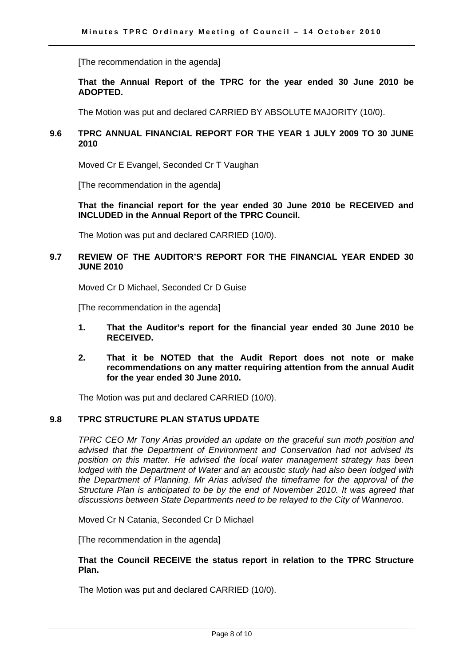[The recommendation in the agenda]

# **That the Annual Report of the TPRC for the year ended 30 June 2010 be ADOPTED.**

The Motion was put and declared CARRIED BY ABSOLUTE MAJORITY (10/0).

# **9.6 TPRC ANNUAL FINANCIAL REPORT FOR THE YEAR 1 JULY 2009 TO 30 JUNE 2010**

Moved Cr E Evangel, Seconded Cr T Vaughan

[The recommendation in the agenda]

**That the financial report for the year ended 30 June 2010 be RECEIVED and INCLUDED in the Annual Report of the TPRC Council.** 

The Motion was put and declared CARRIED (10/0).

# **9.7 REVIEW OF THE AUDITOR'S REPORT FOR THE FINANCIAL YEAR ENDED 30 JUNE 2010**

Moved Cr D Michael, Seconded Cr D Guise

[The recommendation in the agenda]

- **1. That the Auditor's report for the financial year ended 30 June 2010 be RECEIVED.**
- **2. That it be NOTED that the Audit Report does not note or make recommendations on any matter requiring attention from the annual Audit for the year ended 30 June 2010.**

The Motion was put and declared CARRIED (10/0).

# **9.8 TPRC STRUCTURE PLAN STATUS UPDATE**

*TPRC CEO Mr Tony Arias provided an update on the graceful sun moth position and advised that the Department of Environment and Conservation had not advised its position on this matter. He advised the local water management strategy has been lodged with the Department of Water and an acoustic study had also been lodged with the Department of Planning. Mr Arias advised the timeframe for the approval of the Structure Plan is anticipated to be by the end of November 2010. It was agreed that discussions between State Departments need to be relayed to the City of Wanneroo.* 

Moved Cr N Catania, Seconded Cr D Michael

[The recommendation in the agenda]

# **That the Council RECEIVE the status report in relation to the TPRC Structure Plan.**

The Motion was put and declared CARRIED (10/0).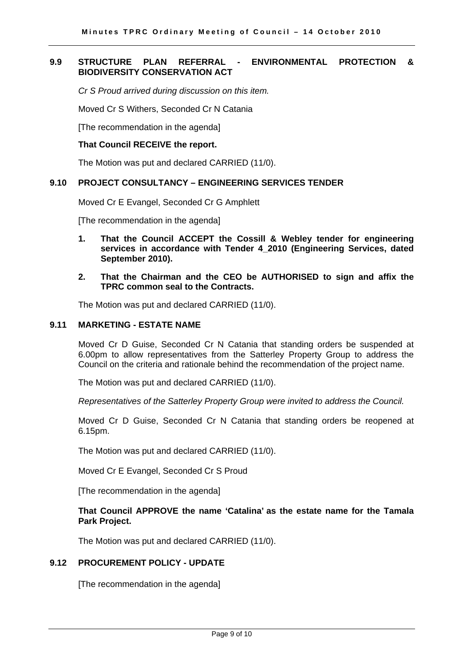# **9.9 STRUCTURE PLAN REFERRAL - ENVIRONMENTAL PROTECTION & BIODIVERSITY CONSERVATION ACT**

*Cr S Proud arrived during discussion on this item.* 

Moved Cr S Withers, Seconded Cr N Catania

[The recommendation in the agenda]

#### **That Council RECEIVE the report.**

The Motion was put and declared CARRIED (11/0).

#### **9.10 PROJECT CONSULTANCY – ENGINEERING SERVICES TENDER**

Moved Cr E Evangel, Seconded Cr G Amphlett

[The recommendation in the agenda]

- **1. That the Council ACCEPT the Cossill & Webley tender for engineering services in accordance with Tender 4\_2010 (Engineering Services, dated September 2010).**
- **2. That the Chairman and the CEO be AUTHORISED to sign and affix the TPRC common seal to the Contracts.**

The Motion was put and declared CARRIED (11/0).

# **9.11 MARKETING - ESTATE NAME**

Moved Cr D Guise, Seconded Cr N Catania that standing orders be suspended at 6.00pm to allow representatives from the Satterley Property Group to address the Council on the criteria and rationale behind the recommendation of the project name.

The Motion was put and declared CARRIED (11/0).

*Representatives of the Satterley Property Group were invited to address the Council.* 

Moved Cr D Guise, Seconded Cr N Catania that standing orders be reopened at 6.15pm.

The Motion was put and declared CARRIED (11/0).

Moved Cr E Evangel, Seconded Cr S Proud

[The recommendation in the agenda]

# **That Council APPROVE the name 'Catalina' as the estate name for the Tamala Park Project.**

The Motion was put and declared CARRIED (11/0).

# **9.12 PROCUREMENT POLICY - UPDATE**

[The recommendation in the agenda]